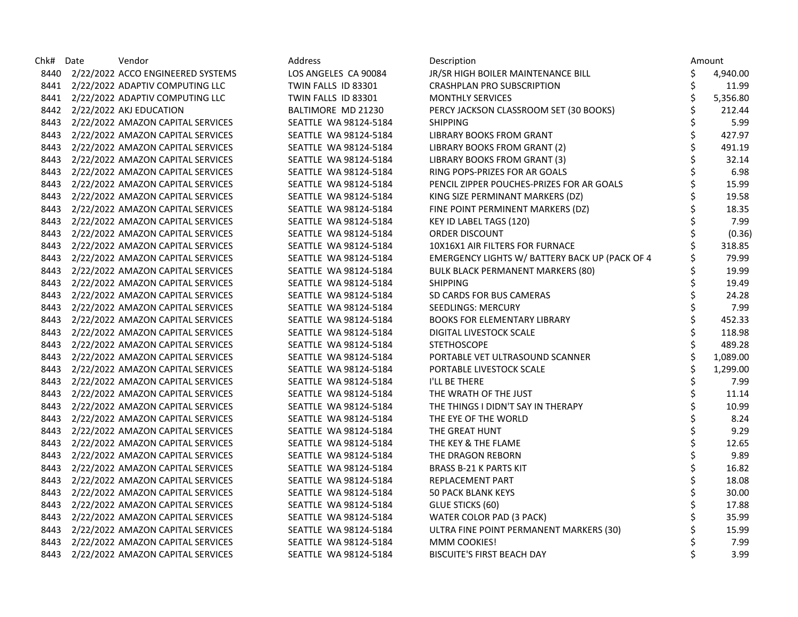| Chk# | Date | Vendor                            | Address               | Description                                    |    | Amount   |
|------|------|-----------------------------------|-----------------------|------------------------------------------------|----|----------|
| 8440 |      | 2/22/2022 ACCO ENGINEERED SYSTEMS | LOS ANGELES CA 90084  | JR/SR HIGH BOILER MAINTENANCE BILL             | \$ | 4,940.00 |
| 8441 |      | 2/22/2022 ADAPTIV COMPUTING LLC   | TWIN FALLS ID 83301   | <b>CRASHPLAN PRO SUBSCRIPTION</b>              | \$ | 11.99    |
| 8441 |      | 2/22/2022 ADAPTIV COMPUTING LLC   | TWIN FALLS ID 83301   | <b>MONTHLY SERVICES</b>                        | \$ | 5,356.80 |
| 8442 |      | 2/22/2022 AKJ EDUCATION           | BALTIMORE MD 21230    | PERCY JACKSON CLASSROOM SET (30 BOOKS)         | \$ | 212.44   |
| 8443 |      | 2/22/2022 AMAZON CAPITAL SERVICES | SEATTLE WA 98124-5184 | <b>SHIPPING</b>                                | \$ | 5.99     |
| 8443 |      | 2/22/2022 AMAZON CAPITAL SERVICES | SEATTLE WA 98124-5184 | LIBRARY BOOKS FROM GRANT                       | \$ | 427.97   |
| 8443 |      | 2/22/2022 AMAZON CAPITAL SERVICES | SEATTLE WA 98124-5184 | LIBRARY BOOKS FROM GRANT (2)                   | \$ | 491.19   |
| 8443 |      | 2/22/2022 AMAZON CAPITAL SERVICES | SEATTLE WA 98124-5184 | LIBRARY BOOKS FROM GRANT (3)                   |    | 32.14    |
| 8443 |      | 2/22/2022 AMAZON CAPITAL SERVICES | SEATTLE WA 98124-5184 | RING POPS-PRIZES FOR AR GOALS                  |    | 6.98     |
| 8443 |      | 2/22/2022 AMAZON CAPITAL SERVICES | SEATTLE WA 98124-5184 | PENCIL ZIPPER POUCHES-PRIZES FOR AR GOALS      | \$ | 15.99    |
| 8443 |      | 2/22/2022 AMAZON CAPITAL SERVICES | SEATTLE WA 98124-5184 | KING SIZE PERMINANT MARKERS (DZ)               | \$ | 19.58    |
| 8443 |      | 2/22/2022 AMAZON CAPITAL SERVICES | SEATTLE WA 98124-5184 | FINE POINT PERMINENT MARKERS (DZ)              |    | 18.35    |
| 8443 |      | 2/22/2022 AMAZON CAPITAL SERVICES | SEATTLE WA 98124-5184 | KEY ID LABEL TAGS (120)                        |    | 7.99     |
| 8443 |      | 2/22/2022 AMAZON CAPITAL SERVICES | SEATTLE WA 98124-5184 | ORDER DISCOUNT                                 |    | (0.36)   |
| 8443 |      | 2/22/2022 AMAZON CAPITAL SERVICES | SEATTLE WA 98124-5184 | 10X16X1 AIR FILTERS FOR FURNACE                |    | 318.85   |
| 8443 |      | 2/22/2022 AMAZON CAPITAL SERVICES | SEATTLE WA 98124-5184 | EMERGENCY LIGHTS W/ BATTERY BACK UP (PACK OF 4 |    | 79.99    |
| 8443 |      | 2/22/2022 AMAZON CAPITAL SERVICES | SEATTLE WA 98124-5184 | <b>BULK BLACK PERMANENT MARKERS (80)</b>       |    | 19.99    |
| 8443 |      | 2/22/2022 AMAZON CAPITAL SERVICES | SEATTLE WA 98124-5184 | <b>SHIPPING</b>                                |    | 19.49    |
| 8443 |      | 2/22/2022 AMAZON CAPITAL SERVICES | SEATTLE WA 98124-5184 | SD CARDS FOR BUS CAMERAS                       |    | 24.28    |
| 8443 |      | 2/22/2022 AMAZON CAPITAL SERVICES | SEATTLE WA 98124-5184 | SEEDLINGS: MERCURY                             |    | 7.99     |
| 8443 |      | 2/22/2022 AMAZON CAPITAL SERVICES | SEATTLE WA 98124-5184 | <b>BOOKS FOR ELEMENTARY LIBRARY</b>            | \$ | 452.33   |
| 8443 |      | 2/22/2022 AMAZON CAPITAL SERVICES | SEATTLE WA 98124-5184 | DIGITAL LIVESTOCK SCALE                        | \$ | 118.98   |
| 8443 |      | 2/22/2022 AMAZON CAPITAL SERVICES | SEATTLE WA 98124-5184 | <b>STETHOSCOPE</b>                             |    | 489.28   |
| 8443 |      | 2/22/2022 AMAZON CAPITAL SERVICES | SEATTLE WA 98124-5184 | PORTABLE VET ULTRASOUND SCANNER                |    | 1,089.00 |
| 8443 |      | 2/22/2022 AMAZON CAPITAL SERVICES | SEATTLE WA 98124-5184 | PORTABLE LIVESTOCK SCALE                       |    | 1,299.00 |
| 8443 |      | 2/22/2022 AMAZON CAPITAL SERVICES | SEATTLE WA 98124-5184 | I'LL BE THERE                                  | \$ | 7.99     |
| 8443 |      | 2/22/2022 AMAZON CAPITAL SERVICES | SEATTLE WA 98124-5184 | THE WRATH OF THE JUST                          | \$ | 11.14    |
| 8443 |      | 2/22/2022 AMAZON CAPITAL SERVICES | SEATTLE WA 98124-5184 | THE THINGS I DIDN'T SAY IN THERAPY             | \$ | 10.99    |
| 8443 |      | 2/22/2022 AMAZON CAPITAL SERVICES | SEATTLE WA 98124-5184 | THE EYE OF THE WORLD                           |    | 8.24     |
| 8443 |      | 2/22/2022 AMAZON CAPITAL SERVICES | SEATTLE WA 98124-5184 | THE GREAT HUNT                                 |    | 9.29     |
| 8443 |      | 2/22/2022 AMAZON CAPITAL SERVICES | SEATTLE WA 98124-5184 | THE KEY & THE FLAME                            |    | 12.65    |
| 8443 |      | 2/22/2022 AMAZON CAPITAL SERVICES | SEATTLE WA 98124-5184 | THE DRAGON REBORN                              | \$ | 9.89     |
| 8443 |      | 2/22/2022 AMAZON CAPITAL SERVICES | SEATTLE WA 98124-5184 | <b>BRASS B-21 K PARTS KIT</b>                  | \$ | 16.82    |
| 8443 |      | 2/22/2022 AMAZON CAPITAL SERVICES | SEATTLE WA 98124-5184 | REPLACEMENT PART                               | \$ | 18.08    |
| 8443 |      | 2/22/2022 AMAZON CAPITAL SERVICES | SEATTLE WA 98124-5184 | <b>50 PACK BLANK KEYS</b>                      |    | 30.00    |
| 8443 |      | 2/22/2022 AMAZON CAPITAL SERVICES | SEATTLE WA 98124-5184 | GLUE STICKS (60)                               |    | 17.88    |
| 8443 |      | 2/22/2022 AMAZON CAPITAL SERVICES | SEATTLE WA 98124-5184 | WATER COLOR PAD (3 PACK)                       |    | 35.99    |
| 8443 |      | 2/22/2022 AMAZON CAPITAL SERVICES | SEATTLE WA 98124-5184 | ULTRA FINE POINT PERMANENT MARKERS (30)        |    | 15.99    |
| 8443 |      | 2/22/2022 AMAZON CAPITAL SERVICES | SEATTLE WA 98124-5184 | MMM COOKIES!                                   |    | 7.99     |
| 8443 |      | 2/22/2022 AMAZON CAPITAL SERVICES | SEATTLE WA 98124-5184 | <b>BISCUITE'S FIRST BEACH DAY</b>              | Ś  | 3.99     |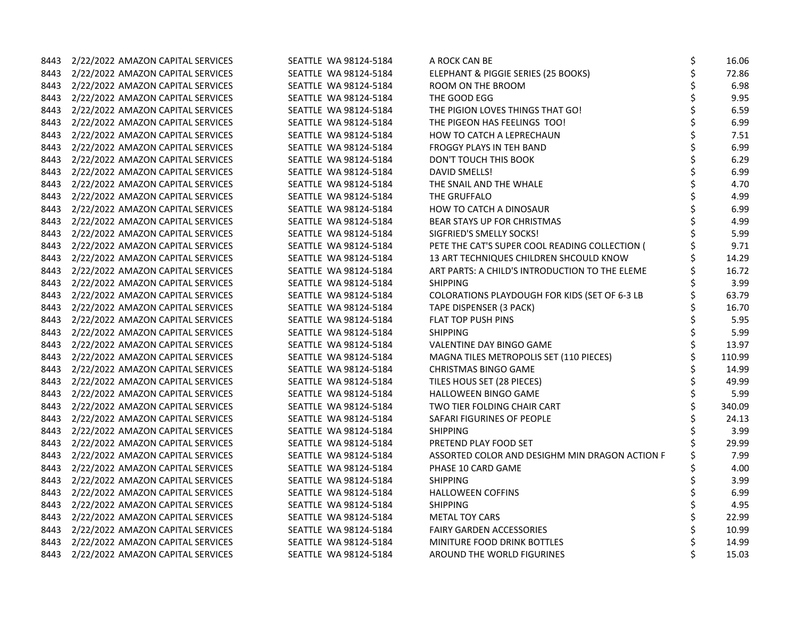| 8443 | 2/22/2022 AMAZON CAPITAL SERVICES      | SEATTLE WA 98124-5184 | A ROCK CAN BE                                  | \$<br>16.06  |
|------|----------------------------------------|-----------------------|------------------------------------------------|--------------|
|      | 8443 2/22/2022 AMAZON CAPITAL SERVICES | SEATTLE WA 98124-5184 | ELEPHANT & PIGGIE SERIES (25 BOOKS)            | \$<br>72.86  |
| 8443 | 2/22/2022 AMAZON CAPITAL SERVICES      | SEATTLE WA 98124-5184 | ROOM ON THE BROOM                              | \$<br>6.98   |
| 8443 | 2/22/2022 AMAZON CAPITAL SERVICES      | SEATTLE WA 98124-5184 | THE GOOD EGG                                   | \$<br>9.95   |
| 8443 | 2/22/2022 AMAZON CAPITAL SERVICES      | SEATTLE WA 98124-5184 | THE PIGION LOVES THINGS THAT GO!               | \$<br>6.59   |
|      | 8443 2/22/2022 AMAZON CAPITAL SERVICES | SEATTLE WA 98124-5184 | THE PIGEON HAS FEELINGS TOO!                   | \$<br>6.99   |
|      | 8443 2/22/2022 AMAZON CAPITAL SERVICES | SEATTLE WA 98124-5184 | HOW TO CATCH A LEPRECHAUN                      | \$<br>7.51   |
| 8443 | 2/22/2022 AMAZON CAPITAL SERVICES      | SEATTLE WA 98124-5184 | FROGGY PLAYS IN TEH BAND                       | \$<br>6.99   |
| 8443 | 2/22/2022 AMAZON CAPITAL SERVICES      | SEATTLE WA 98124-5184 | DON'T TOUCH THIS BOOK                          | \$<br>6.29   |
| 8443 | 2/22/2022 AMAZON CAPITAL SERVICES      | SEATTLE WA 98124-5184 | DAVID SMELLS!                                  | \$<br>6.99   |
| 8443 | 2/22/2022 AMAZON CAPITAL SERVICES      | SEATTLE WA 98124-5184 | THE SNAIL AND THE WHALE                        | \$<br>4.70   |
|      | 8443 2/22/2022 AMAZON CAPITAL SERVICES | SEATTLE WA 98124-5184 | THE GRUFFALO                                   | \$<br>4.99   |
|      | 8443 2/22/2022 AMAZON CAPITAL SERVICES | SEATTLE WA 98124-5184 | HOW TO CATCH A DINOSAUR                        | 6.99         |
|      | 8443 2/22/2022 AMAZON CAPITAL SERVICES | SEATTLE WA 98124-5184 | BEAR STAYS UP FOR CHRISTMAS                    | \$<br>4.99   |
| 8443 | 2/22/2022 AMAZON CAPITAL SERVICES      | SEATTLE WA 98124-5184 | SIGFRIED'S SMELLY SOCKS!                       | 5.99         |
| 8443 | 2/22/2022 AMAZON CAPITAL SERVICES      | SEATTLE WA 98124-5184 | PETE THE CAT'S SUPER COOL READING COLLECTION ( | 9.71         |
| 8443 | 2/22/2022 AMAZON CAPITAL SERVICES      | SEATTLE WA 98124-5184 | 13 ART TECHNIQUES CHILDREN SHCOULD KNOW        | \$<br>14.29  |
|      | 8443 2/22/2022 AMAZON CAPITAL SERVICES | SEATTLE WA 98124-5184 | ART PARTS: A CHILD'S INTRODUCTION TO THE ELEME | 16.72        |
|      | 8443 2/22/2022 AMAZON CAPITAL SERVICES | SEATTLE WA 98124-5184 | <b>SHIPPING</b>                                | 3.99         |
| 8443 | 2/22/2022 AMAZON CAPITAL SERVICES      | SEATTLE WA 98124-5184 | COLORATIONS PLAYDOUGH FOR KIDS (SET OF 6-3 LB  | 63.79        |
| 8443 | 2/22/2022 AMAZON CAPITAL SERVICES      | SEATTLE WA 98124-5184 | TAPE DISPENSER (3 PACK)                        | \$<br>16.70  |
| 8443 | 2/22/2022 AMAZON CAPITAL SERVICES      | SEATTLE WA 98124-5184 | <b>FLAT TOP PUSH PINS</b>                      | \$<br>5.95   |
| 8443 | 2/22/2022 AMAZON CAPITAL SERVICES      | SEATTLE WA 98124-5184 | <b>SHIPPING</b>                                | \$<br>5.99   |
|      | 8443 2/22/2022 AMAZON CAPITAL SERVICES | SEATTLE WA 98124-5184 | VALENTINE DAY BINGO GAME                       | \$<br>13.97  |
|      | 8443 2/22/2022 AMAZON CAPITAL SERVICES | SEATTLE WA 98124-5184 | MAGNA TILES METROPOLIS SET (110 PIECES)        | \$<br>110.99 |
| 8443 | 2/22/2022 AMAZON CAPITAL SERVICES      | SEATTLE WA 98124-5184 | <b>CHRISTMAS BINGO GAME</b>                    | \$<br>14.99  |
| 8443 | 2/22/2022 AMAZON CAPITAL SERVICES      | SEATTLE WA 98124-5184 | TILES HOUS SET (28 PIECES)                     | \$<br>49.99  |
| 8443 | 2/22/2022 AMAZON CAPITAL SERVICES      | SEATTLE WA 98124-5184 | HALLOWEEN BINGO GAME                           | \$<br>5.99   |
|      | 8443 2/22/2022 AMAZON CAPITAL SERVICES | SEATTLE WA 98124-5184 | TWO TIER FOLDING CHAIR CART                    | \$<br>340.09 |
|      | 8443 2/22/2022 AMAZON CAPITAL SERVICES | SEATTLE WA 98124-5184 | SAFARI FIGURINES OF PEOPLE                     | 24.13        |
| 8443 | 2/22/2022 AMAZON CAPITAL SERVICES      | SEATTLE WA 98124-5184 | <b>SHIPPING</b>                                | 3.99         |
| 8443 | 2/22/2022 AMAZON CAPITAL SERVICES      | SEATTLE WA 98124-5184 | PRETEND PLAY FOOD SET                          | 29.99        |
| 8443 | 2/22/2022 AMAZON CAPITAL SERVICES      | SEATTLE WA 98124-5184 | ASSORTED COLOR AND DESIGHM MIN DRAGON ACTION F | 7.99         |
| 8443 | 2/22/2022 AMAZON CAPITAL SERVICES      | SEATTLE WA 98124-5184 | PHASE 10 CARD GAME                             | 4.00         |
|      | 8443 2/22/2022 AMAZON CAPITAL SERVICES | SEATTLE WA 98124-5184 | <b>SHIPPING</b>                                | \$<br>3.99   |
|      | 8443 2/22/2022 AMAZON CAPITAL SERVICES | SEATTLE WA 98124-5184 | <b>HALLOWEEN COFFINS</b>                       | 6.99         |
|      | 8443 2/22/2022 AMAZON CAPITAL SERVICES | SEATTLE WA 98124-5184 | <b>SHIPPING</b>                                | 4.95         |
| 8443 | 2/22/2022 AMAZON CAPITAL SERVICES      | SEATTLE WA 98124-5184 | <b>METAL TOY CARS</b>                          | \$<br>22.99  |
| 8443 | 2/22/2022 AMAZON CAPITAL SERVICES      | SEATTLE WA 98124-5184 | <b>FAIRY GARDEN ACCESSORIES</b>                | \$<br>10.99  |
|      | 8443 2/22/2022 AMAZON CAPITAL SERVICES | SEATTLE WA 98124-5184 | MINITURE FOOD DRINK BOTTLES                    | \$<br>14.99  |
|      | 8443 2/22/2022 AMAZON CAPITAL SERVICES | SEATTLE WA 98124-5184 | AROUND THE WORLD FIGURINES                     | \$<br>15.03  |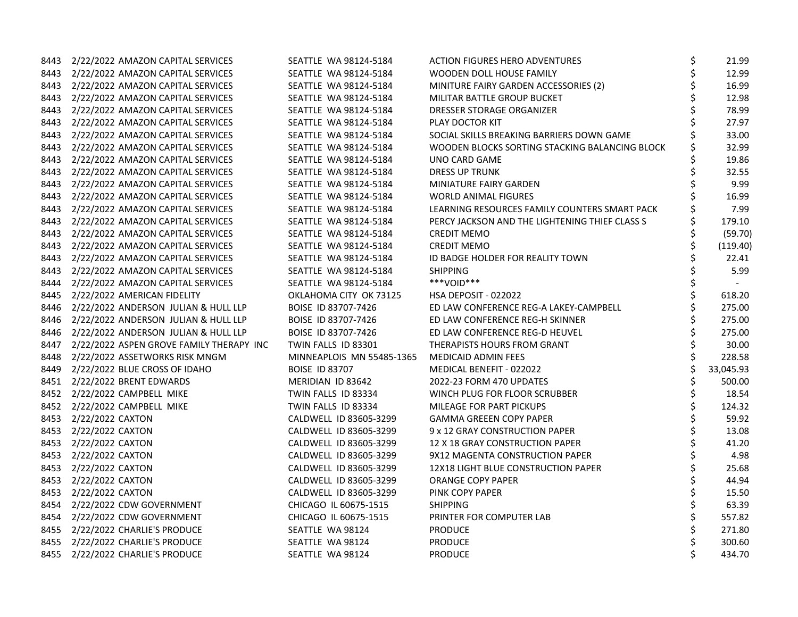|      | 8443 2/22/2022 AMAZON CAPITAL SERVICES        | SEATTLE WA 98124-5184     | <b>ACTION FIGURES HERO ADVENTURES</b>          | \$ | 21.99     |
|------|-----------------------------------------------|---------------------------|------------------------------------------------|----|-----------|
|      | 8443 2/22/2022 AMAZON CAPITAL SERVICES        | SEATTLE WA 98124-5184     | WOODEN DOLL HOUSE FAMILY                       | \$ | 12.99     |
|      | 8443 2/22/2022 AMAZON CAPITAL SERVICES        | SEATTLE WA 98124-5184     | MINITURE FAIRY GARDEN ACCESSORIES (2)          | \$ | 16.99     |
|      | 8443 2/22/2022 AMAZON CAPITAL SERVICES        | SEATTLE WA 98124-5184     | MILITAR BATTLE GROUP BUCKET                    | \$ | 12.98     |
| 8443 | 2/22/2022 AMAZON CAPITAL SERVICES             | SEATTLE WA 98124-5184     | DRESSER STORAGE ORGANIZER                      | \$ | 78.99     |
|      | 8443 2/22/2022 AMAZON CAPITAL SERVICES        | SEATTLE WA 98124-5184     | PLAY DOCTOR KIT                                | \$ | 27.97     |
|      | 8443 2/22/2022 AMAZON CAPITAL SERVICES        | SEATTLE WA 98124-5184     | SOCIAL SKILLS BREAKING BARRIERS DOWN GAME      |    | 33.00     |
|      | 8443 2/22/2022 AMAZON CAPITAL SERVICES        | SEATTLE WA 98124-5184     | WOODEN BLOCKS SORTING STACKING BALANCING BLOCK |    | 32.99     |
| 8443 | 2/22/2022 AMAZON CAPITAL SERVICES             | SEATTLE WA 98124-5184     | UNO CARD GAME                                  | Ś  | 19.86     |
| 8443 | 2/22/2022 AMAZON CAPITAL SERVICES             | SEATTLE WA 98124-5184     | <b>DRESS UP TRUNK</b>                          |    | 32.55     |
| 8443 | 2/22/2022 AMAZON CAPITAL SERVICES             | SEATTLE WA 98124-5184     | MINIATURE FAIRY GARDEN                         | \$ | 9.99      |
|      | 8443 2/22/2022 AMAZON CAPITAL SERVICES        | SEATTLE WA 98124-5184     | WORLD ANIMAL FIGURES                           | \$ | 16.99     |
|      | 8443 2/22/2022 AMAZON CAPITAL SERVICES        | SEATTLE WA 98124-5184     | LEARNING RESOURCES FAMILY COUNTERS SMART PACK  |    | 7.99      |
|      | 8443 2/22/2022 AMAZON CAPITAL SERVICES        | SEATTLE WA 98124-5184     | PERCY JACKSON AND THE LIGHTENING THIEF CLASS S |    | 179.10    |
|      | 8443 2/22/2022 AMAZON CAPITAL SERVICES        | SEATTLE WA 98124-5184     | <b>CREDIT MEMO</b>                             | \$ | (59.70)   |
| 8443 | 2/22/2022 AMAZON CAPITAL SERVICES             | SEATTLE WA 98124-5184     | <b>CREDIT MEMO</b>                             |    | (119.40)  |
|      | 8443 2/22/2022 AMAZON CAPITAL SERVICES        | SEATTLE WA 98124-5184     | ID BADGE HOLDER FOR REALITY TOWN               | Ś  | 22.41     |
|      | 8443 2/22/2022 AMAZON CAPITAL SERVICES        | SEATTLE WA 98124-5184     | <b>SHIPPING</b>                                | \$ | 5.99      |
|      | 8444 2/22/2022 AMAZON CAPITAL SERVICES        | SEATTLE WA 98124-5184     | ***VOID***                                     | \$ | $\sim$    |
|      | 8445 2/22/2022 AMERICAN FIDELITY              | OKLAHOMA CITY OK 73125    | <b>HSA DEPOSIT - 022022</b>                    | \$ | 618.20    |
|      | 8446 2/22/2022 ANDERSON JULIAN & HULL LLP     | BOISE ID 83707-7426       | ED LAW CONFERENCE REG-A LAKEY-CAMPBELL         | \$ | 275.00    |
|      | 8446 2/22/2022 ANDERSON JULIAN & HULL LLP     | BOISE ID 83707-7426       | ED LAW CONFERENCE REG-H SKINNER                | \$ | 275.00    |
|      | 8446 2/22/2022 ANDERSON JULIAN & HULL LLP     | BOISE ID 83707-7426       | ED LAW CONFERENCE REG-D HEUVEL                 | \$ | 275.00    |
|      | 8447 2/22/2022 ASPEN GROVE FAMILY THERAPY INC | TWIN FALLS ID 83301       | THERAPISTS HOURS FROM GRANT                    | \$ | 30.00     |
|      | 8448 2/22/2022 ASSETWORKS RISK MNGM           | MINNEAPLOIS MN 55485-1365 | <b>MEDICAID ADMIN FEES</b>                     |    | 228.58    |
|      | 8449 2/22/2022 BLUE CROSS OF IDAHO            | <b>BOISE ID 83707</b>     | MEDICAL BENEFIT - 022022                       | \$ | 33,045.93 |
|      | 8451 2/22/2022 BRENT EDWARDS                  | MERIDIAN ID 83642         | 2022-23 FORM 470 UPDATES                       | \$ | 500.00    |
|      | 8452 2/22/2022 CAMPBELL MIKE                  | TWIN FALLS ID 83334       | WINCH PLUG FOR FLOOR SCRUBBER                  | \$ | 18.54     |
|      | 8452 2/22/2022 CAMPBELL MIKE                  | TWIN FALLS ID 83334       | MILEAGE FOR PART PICKUPS                       | \$ | 124.32    |
|      | 8453 2/22/2022 CAXTON                         | CALDWELL ID 83605-3299    | <b>GAMMA GREEEN COPY PAPER</b>                 | \$ | 59.92     |
|      | 8453 2/22/2022 CAXTON                         | CALDWELL ID 83605-3299    | 9 x 12 GRAY CONSTRUCTION PAPER                 | \$ | 13.08     |
|      | 8453 2/22/2022 CAXTON                         | CALDWELL ID 83605-3299    | 12 X 18 GRAY CONSTRUCTION PAPER                | \$ | 41.20     |
| 8453 | 2/22/2022 CAXTON                              | CALDWELL ID 83605-3299    | 9X12 MAGENTA CONSTRUCTION PAPER                | \$ | 4.98      |
| 8453 | 2/22/2022 CAXTON                              | CALDWELL ID 83605-3299    | 12X18 LIGHT BLUE CONSTRUCTION PAPER            | \$ | 25.68     |
|      | 8453 2/22/2022 CAXTON                         | CALDWELL ID 83605-3299    | ORANGE COPY PAPER                              | \$ | 44.94     |
|      | 8453 2/22/2022 CAXTON                         | CALDWELL ID 83605-3299    | PINK COPY PAPER                                |    | 15.50     |
|      | 8454 2/22/2022 CDW GOVERNMENT                 | CHICAGO IL 60675-1515     | <b>SHIPPING</b>                                |    | 63.39     |
|      | 8454 2/22/2022 CDW GOVERNMENT                 | CHICAGO IL 60675-1515     | PRINTER FOR COMPUTER LAB                       | \$ | 557.82    |
|      | 8455 2/22/2022 CHARLIE'S PRODUCE              | SEATTLE WA 98124          | <b>PRODUCE</b>                                 | \$ | 271.80    |
|      | 8455 2/22/2022 CHARLIE'S PRODUCE              | SEATTLE WA 98124          | <b>PRODUCE</b>                                 | Ś  | 300.60    |
|      | 8455 2/22/2022 CHARLIE'S PRODUCE              | SEATTLE WA 98124          | <b>PRODUCE</b>                                 | \$ | 434.70    |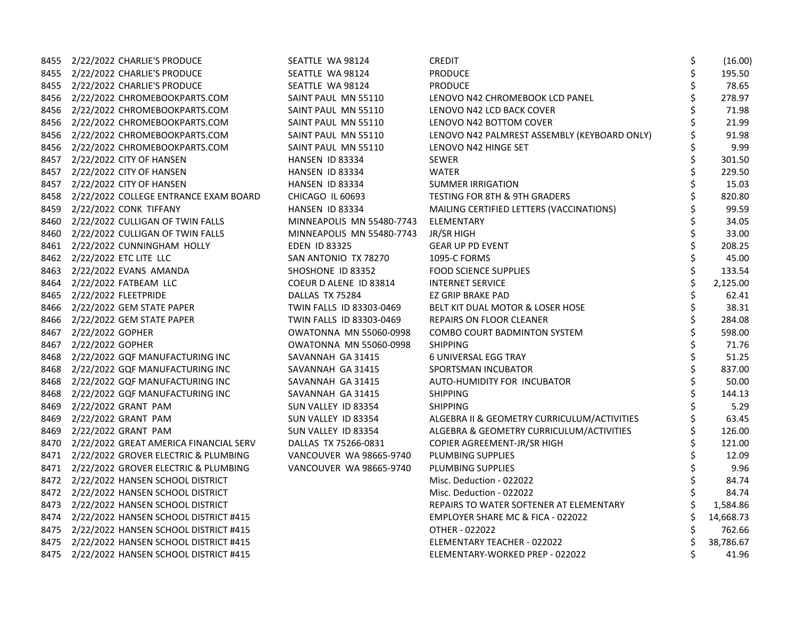| 8455 2/22/2022 CHARLIE'S PRODUCE            | SEATTLE WA 98124              | <b>CREDIT</b>                                | \$ | (16.00)   |
|---------------------------------------------|-------------------------------|----------------------------------------------|----|-----------|
| 8455 2/22/2022 CHARLIE'S PRODUCE            | SEATTLE WA 98124              | <b>PRODUCE</b>                               | \$ | 195.50    |
| 8455 2/22/2022 CHARLIE'S PRODUCE            | SEATTLE WA 98124              | <b>PRODUCE</b>                               |    | 78.65     |
| 8456 2/22/2022 CHROMEBOOKPARTS.COM          | SAINT PAUL MN 55110           | LENOVO N42 CHROMEBOOK LCD PANEL              | \$ | 278.97    |
| 8456 2/22/2022 CHROMEBOOKPARTS.COM          | SAINT PAUL MN 55110           | LENOVO N42 LCD BACK COVER                    | \$ | 71.98     |
| 8456 2/22/2022 CHROMEBOOKPARTS.COM          | SAINT PAUL MN 55110           | LENOVO N42 BOTTOM COVER                      | \$ | 21.99     |
| 8456 2/22/2022 CHROMEBOOKPARTS.COM          | SAINT PAUL MN 55110           | LENOVO N42 PALMREST ASSEMBLY (KEYBOARD ONLY) |    | 91.98     |
| 8456 2/22/2022 CHROMEBOOKPARTS.COM          | SAINT PAUL MN 55110           | LENOVO N42 HINGE SET                         |    | 9.99      |
| 8457 2/22/2022 CITY OF HANSEN               | HANSEN ID 83334               | <b>SEWER</b>                                 | \$ | 301.50    |
| 8457 2/22/2022 CITY OF HANSEN               | HANSEN ID 83334               | <b>WATER</b>                                 | \$ | 229.50    |
| 8457 2/22/2022 CITY OF HANSEN               | HANSEN ID 83334               | <b>SUMMER IRRIGATION</b>                     | \$ | 15.03     |
| 8458 2/22/2022 COLLEGE ENTRANCE EXAM BOARD  | CHICAGO IL 60693              | TESTING FOR 8TH & 9TH GRADERS                | \$ | 820.80    |
| 8459 2/22/2022 CONK TIFFANY                 | HANSEN ID 83334               | MAILING CERTIFIED LETTERS (VACCINATIONS)     |    | 99.59     |
| 8460 2/22/2022 CULLIGAN OF TWIN FALLS       | MINNEAPOLIS MN 55480-7743     | ELEMENTARY                                   |    | 34.05     |
| 8460 2/22/2022 CULLIGAN OF TWIN FALLS       | MINNEAPOLIS MN 55480-7743     | JR/SR HIGH                                   | \$ | 33.00     |
| 8461 2/22/2022 CUNNINGHAM HOLLY             | <b>EDEN ID 83325</b>          | <b>GEAR UP PD EVENT</b>                      | \$ | 208.25    |
| 8462 2/22/2022 ETC LITE LLC                 | SAN ANTONIO TX 78270          | 1095-C FORMS                                 | \$ | 45.00     |
| 8463 2/22/2022 EVANS AMANDA                 | SHOSHONE ID 83352             | <b>FOOD SCIENCE SUPPLIES</b>                 | \$ | 133.54    |
| 8464 2/22/2022 FATBEAM LLC                  | COEUR D ALENE ID 83814        | <b>INTERNET SERVICE</b>                      |    | 2,125.00  |
| 8465 2/22/2022 FLEETPRIDE                   | DALLAS TX 75284               | EZ GRIP BRAKE PAD                            | \$ | 62.41     |
| 8466 2/22/2022 GEM STATE PAPER              | TWIN FALLS ID 83303-0469      | BELT KIT DUAL MOTOR & LOSER HOSE             | \$ | 38.31     |
| 8466 2/22/2022 GEM STATE PAPER              | TWIN FALLS ID 83303-0469      | REPAIRS ON FLOOR CLEANER                     | \$ | 284.08    |
| 8467 2/22/2022 GOPHER                       | <b>OWATONNA MN 55060-0998</b> | COMBO COURT BADMINTON SYSTEM                 | \$ | 598.00    |
| 8467 2/22/2022 GOPHER                       | <b>OWATONNA MN 55060-0998</b> | <b>SHIPPING</b>                              | \$ | 71.76     |
| 8468 2/22/2022 GQF MANUFACTURING INC        | SAVANNAH GA 31415             | 6 UNIVERSAL EGG TRAY                         |    | 51.25     |
| 8468 2/22/2022 GQF MANUFACTURING INC        | SAVANNAH GA 31415             | SPORTSMAN INCUBATOR                          | \$ | 837.00    |
| 8468 2/22/2022 GQF MANUFACTURING INC        | SAVANNAH GA 31415             | AUTO-HUMIDITY FOR INCUBATOR                  | \$ | 50.00     |
| 8468 2/22/2022 GQF MANUFACTURING INC        | SAVANNAH GA 31415             | <b>SHIPPING</b>                              | \$ | 144.13    |
| 8469 2/22/2022 GRANT PAM                    | SUN VALLEY ID 83354           | <b>SHIPPING</b>                              |    | 5.29      |
| 8469 2/22/2022 GRANT PAM                    | SUN VALLEY ID 83354           | ALGEBRA II & GEOMETRY CURRICULUM/ACTIVITIES  |    | 63.45     |
| 8469 2/22/2022 GRANT PAM                    | SUN VALLEY ID 83354           | ALGEBRA & GEOMETRY CURRICULUM/ACTIVITIES     |    | 126.00    |
| 8470 2/22/2022 GREAT AMERICA FINANCIAL SERV | DALLAS TX 75266-0831          | COPIER AGREEMENT-JR/SR HIGH                  |    | 121.00    |
| 8471 2/22/2022 GROVER ELECTRIC & PLUMBING   | VANCOUVER WA 98665-9740       | PLUMBING SUPPLIES                            |    | 12.09     |
| 8471 2/22/2022 GROVER ELECTRIC & PLUMBING   | VANCOUVER WA 98665-9740       | PLUMBING SUPPLIES                            | Ś  | 9.96      |
| 8472 2/22/2022 HANSEN SCHOOL DISTRICT       |                               | Misc. Deduction - 022022                     | \$ | 84.74     |
| 8472 2/22/2022 HANSEN SCHOOL DISTRICT       |                               | Misc. Deduction - 022022                     |    | 84.74     |
| 8473 2/22/2022 HANSEN SCHOOL DISTRICT       |                               | REPAIRS TO WATER SOFTENER AT ELEMENTARY      |    | 1,584.86  |
| 8474 2/22/2022 HANSEN SCHOOL DISTRICT #415  |                               | EMPLOYER SHARE MC & FICA - 022022            |    | 14,668.73 |
| 8475 2/22/2022 HANSEN SCHOOL DISTRICT #415  |                               | OTHER - 022022                               |    | 762.66    |
| 8475 2/22/2022 HANSEN SCHOOL DISTRICT #415  |                               | ELEMENTARY TEACHER - 022022                  | \$ | 38,786.67 |
| 8475 2/22/2022 HANSEN SCHOOL DISTRICT #415  |                               | ELEMENTARY-WORKED PREP - 022022              | \$ | 41.96     |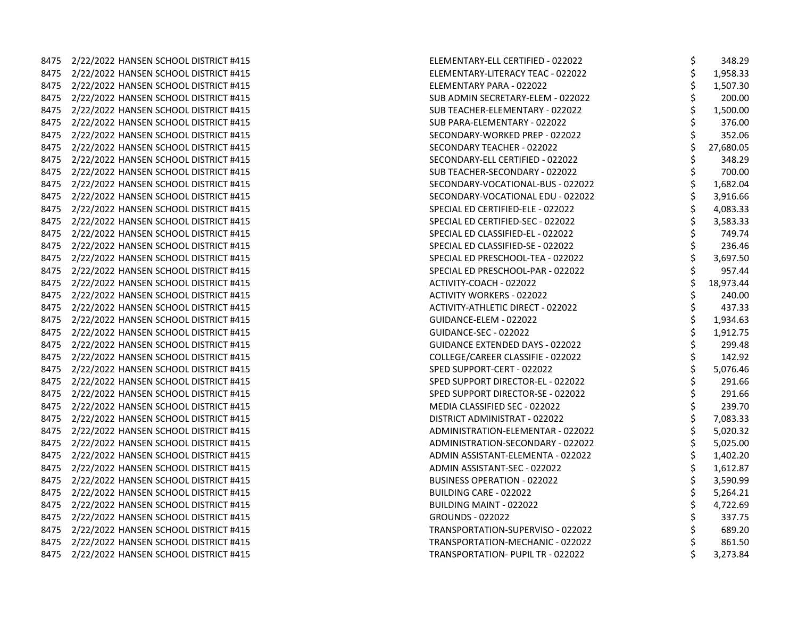| 8475 | 2/22/2022 HANSEN SCHOOL DISTRICT #415 |
|------|---------------------------------------|
| 8475 | 2/22/2022 HANSEN SCHOOL DISTRICT #415 |
| 8475 | 2/22/2022 HANSEN SCHOOL DISTRICT #415 |
| 8475 | 2/22/2022 HANSEN SCHOOL DISTRICT #415 |
| 8475 | 2/22/2022 HANSEN SCHOOL DISTRICT #415 |
| 8475 | 2/22/2022 HANSEN SCHOOL DISTRICT #415 |
| 8475 | 2/22/2022 HANSEN SCHOOL DISTRICT #415 |
| 8475 | 2/22/2022 HANSEN SCHOOL DISTRICT #415 |
| 8475 | 2/22/2022 HANSEN SCHOOL DISTRICT #415 |
| 8475 | 2/22/2022 HANSEN SCHOOL DISTRICT #415 |
| 8475 | 2/22/2022 HANSEN SCHOOL DISTRICT #415 |
| 8475 | 2/22/2022 HANSEN SCHOOL DISTRICT #415 |
| 8475 | 2/22/2022 HANSEN SCHOOL DISTRICT #415 |
| 8475 | 2/22/2022 HANSEN SCHOOL DISTRICT #415 |
| 8475 | 2/22/2022 HANSEN SCHOOL DISTRICT #415 |
| 8475 | 2/22/2022 HANSEN SCHOOL DISTRICT #415 |
| 8475 | 2/22/2022 HANSEN SCHOOL DISTRICT #415 |
| 8475 | 2/22/2022 HANSEN SCHOOL DISTRICT #415 |
| 8475 | 2/22/2022 HANSEN SCHOOL DISTRICT #415 |
| 8475 | 2/22/2022 HANSEN SCHOOL DISTRICT #415 |
| 8475 | 2/22/2022 HANSEN SCHOOL DISTRICT #415 |
| 8475 | 2/22/2022 HANSEN SCHOOL DISTRICT #415 |
| 8475 | 2/22/2022 HANSEN SCHOOL DISTRICT #415 |
| 8475 | 2/22/2022 HANSEN SCHOOL DISTRICT #415 |
| 8475 | 2/22/2022 HANSEN SCHOOL DISTRICT #415 |
| 8475 | 2/22/2022 HANSEN SCHOOL DISTRICT #415 |
| 8475 | 2/22/2022 HANSEN SCHOOL DISTRICT #415 |
| 8475 | 2/22/2022 HANSEN SCHOOL DISTRICT #415 |
| 8475 | 2/22/2022 HANSEN SCHOOL DISTRICT #415 |
| 8475 | 2/22/2022 HANSEN SCHOOL DISTRICT #415 |
| 8475 | 2/22/2022 HANSEN SCHOOL DISTRICT #415 |
| 8475 | 2/22/2022 HANSEN SCHOOL DISTRICT #415 |
| 8475 | 2/22/2022 HANSEN SCHOOL DISTRICT #415 |
| 8475 | 2/22/2022 HANSEN SCHOOL DISTRICT #415 |
| 8475 | 2/22/2022 HANSEN SCHOOL DISTRICT #415 |
| 8475 | 2/22/2022 HANSEN SCHOOL DISTRICT #415 |
| 8475 | 2/22/2022 HANSEN SCHOOL DISTRICT #415 |
| 8475 | 2/22/2022 HANSEN SCHOOL DISTRICT #415 |
| 8475 | 2/22/2022 HANSEN SCHOOL DISTRICT #415 |
| 8475 | 2/22/2022 HANSEN SCHOOL DISTRICT #415 |
| 8475 | 2/22/2022 HANSEN SCHOOL DISTRICT #415 |

|      |                                            | ELEMENTARY-ELL CERTIFIED - 022022      | \$<br>348.29    |
|------|--------------------------------------------|----------------------------------------|-----------------|
|      | 8475 2/22/2022 HANSEN SCHOOL DISTRICT #415 | ELEMENTARY-LITERACY TEAC - 022022      | \$<br>1,958.33  |
|      |                                            | ELEMENTARY PARA - 022022               | \$<br>1,507.30  |
|      | 8475 2/22/2022 HANSEN SCHOOL DISTRICT #415 | SUB ADMIN SECRETARY-ELEM - 022022      | \$<br>200.00    |
|      | 8475 2/22/2022 HANSEN SCHOOL DISTRICT #415 | SUB TEACHER-ELEMENTARY - 022022        | \$<br>1,500.00  |
|      | 8475 2/22/2022 HANSEN SCHOOL DISTRICT #415 | SUB PARA-ELEMENTARY - 022022           | \$<br>376.00    |
|      |                                            | SECONDARY-WORKED PREP - 022022         | \$<br>352.06    |
| 8475 | 2/22/2022 HANSEN SCHOOL DISTRICT #415      | SECONDARY TEACHER - 022022             | \$<br>27,680.05 |
|      | 8475 2/22/2022 HANSEN SCHOOL DISTRICT #415 | SECONDARY-ELL CERTIFIED - 022022       | \$<br>348.29    |
|      | 8475 2/22/2022 HANSEN SCHOOL DISTRICT #415 | SUB TEACHER-SECONDARY - 022022         | \$<br>700.00    |
|      | 8475 2/22/2022 HANSEN SCHOOL DISTRICT #415 | SECONDARY-VOCATIONAL-BUS - 022022      | 1,682.04        |
|      | 8475 2/22/2022 HANSEN SCHOOL DISTRICT #415 | SECONDARY-VOCATIONAL EDU - 022022      | \$<br>3,916.66  |
|      | 8475 2/22/2022 HANSEN SCHOOL DISTRICT #415 | SPECIAL ED CERTIFIED-ELE - 022022      | \$<br>4,083.33  |
| 8475 | 2/22/2022 HANSEN SCHOOL DISTRICT #415      | SPECIAL ED CERTIFIED-SEC - 022022      | \$<br>3,583.33  |
|      | 8475 2/22/2022 HANSEN SCHOOL DISTRICT #415 | SPECIAL ED CLASSIFIED-EL - 022022      | \$<br>749.74    |
|      |                                            | SPECIAL ED CLASSIFIED-SE - 022022      | \$<br>236.46    |
|      | 8475 2/22/2022 HANSEN SCHOOL DISTRICT #415 | SPECIAL ED PRESCHOOL-TEA - 022022      | \$<br>3,697.50  |
|      | 8475 2/22/2022 HANSEN SCHOOL DISTRICT #415 | SPECIAL ED PRESCHOOL-PAR - 022022      | \$<br>957.44    |
|      | 8475 2/22/2022 HANSEN SCHOOL DISTRICT #415 | ACTIVITY-COACH - 022022                | \$<br>18,973.44 |
|      |                                            | <b>ACTIVITY WORKERS - 022022</b>       | \$<br>240.00    |
|      | 8475 2/22/2022 HANSEN SCHOOL DISTRICT #415 | ACTIVITY-ATHLETIC DIRECT - 022022      | \$<br>437.33    |
|      | 8475 2/22/2022 HANSEN SCHOOL DISTRICT #415 | GUIDANCE-ELEM - 022022                 | 1,934.63        |
|      |                                            | GUIDANCE-SEC - 022022                  | 1,912.75        |
|      | 8475 2/22/2022 HANSEN SCHOOL DISTRICT #415 | <b>GUIDANCE EXTENDED DAYS - 022022</b> | \$<br>299.48    |
|      |                                            | COLLEGE/CAREER CLASSIFIE - 022022      | \$<br>142.92    |
|      |                                            | SPED SUPPORT-CERT - 022022             | \$<br>5,076.46  |
|      |                                            | SPED SUPPORT DIRECTOR-EL - 022022      | \$<br>291.66    |
|      | 8475 2/22/2022 HANSEN SCHOOL DISTRICT #415 | SPED SUPPORT DIRECTOR-SE - 022022      | \$<br>291.66    |
|      | 8475 2/22/2022 HANSEN SCHOOL DISTRICT #415 | MEDIA CLASSIFIED SEC - 022022          | \$<br>239.70    |
|      | 8475 2/22/2022 HANSEN SCHOOL DISTRICT #415 | DISTRICT ADMINISTRAT - 022022          | \$<br>7,083.33  |
| 8475 | 2/22/2022 HANSEN SCHOOL DISTRICT #415      | ADMINISTRATION-ELEMENTAR - 022022      | \$<br>5,020.32  |
|      | 8475 2/22/2022 HANSEN SCHOOL DISTRICT #415 | ADMINISTRATION-SECONDARY - 022022      | \$<br>5,025.00  |
|      | 8475 2/22/2022 HANSEN SCHOOL DISTRICT #415 | ADMIN ASSISTANT-ELEMENTA - 022022      | \$<br>1,402.20  |
|      |                                            | ADMIN ASSISTANT-SEC - 022022           | \$<br>1,612.87  |
|      | 8475 2/22/2022 HANSEN SCHOOL DISTRICT #415 | <b>BUSINESS OPERATION - 022022</b>     | \$<br>3,590.99  |
|      |                                            | BUILDING CARE - 022022                 | \$<br>5,264.21  |
|      | 8475 2/22/2022 HANSEN SCHOOL DISTRICT #415 | <b>BUILDING MAINT - 022022</b>         | \$<br>4,722.69  |
|      | 8475 2/22/2022 HANSEN SCHOOL DISTRICT #415 | <b>GROUNDS - 022022</b>                | \$<br>337.75    |
|      | 8475 2/22/2022 HANSEN SCHOOL DISTRICT #415 | TRANSPORTATION-SUPERVISO - 022022      | \$<br>689.20    |
|      |                                            | TRANSPORTATION-MECHANIC - 022022       | \$<br>861.50    |
|      | 8475 2/22/2022 HANSEN SCHOOL DISTRICT #415 | TRANSPORTATION- PUPIL TR - 022022      | \$<br>3,273.84  |
|      |                                            |                                        |                 |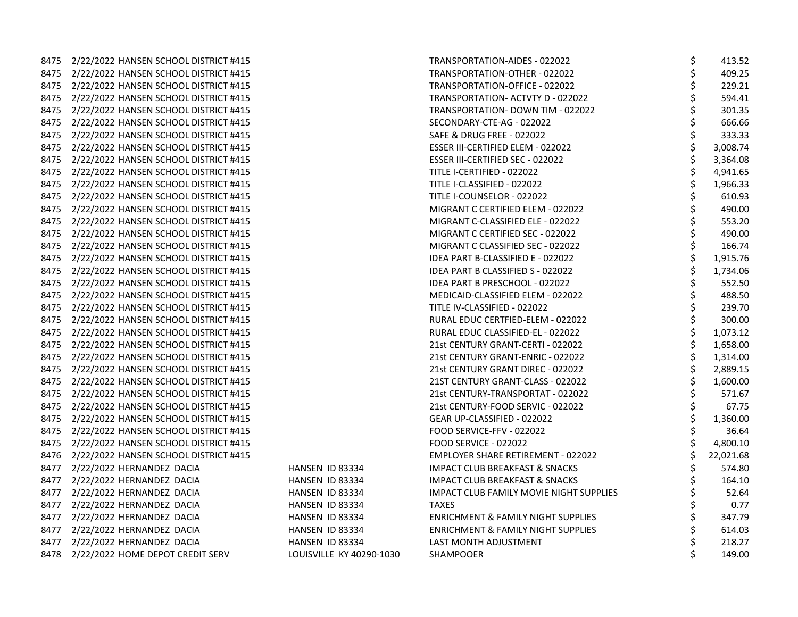|      | 8475 2/22/2022 HANSEN SCHOOL DISTRICT #415 |                          | TRANSPORTATION-AIDES - 022022                 | \$<br>413.52   |
|------|--------------------------------------------|--------------------------|-----------------------------------------------|----------------|
|      | 8475 2/22/2022 HANSEN SCHOOL DISTRICT #415 |                          | TRANSPORTATION-OTHER - 022022                 | 409.25         |
|      | 8475 2/22/2022 HANSEN SCHOOL DISTRICT #415 |                          | TRANSPORTATION-OFFICE - 022022                | 229.21         |
|      | 8475 2/22/2022 HANSEN SCHOOL DISTRICT #415 |                          | TRANSPORTATION- ACTVTY D - 022022             | 594.41         |
|      | 8475 2/22/2022 HANSEN SCHOOL DISTRICT #415 |                          | TRANSPORTATION- DOWN TIM - 022022             | 301.35         |
|      | 8475 2/22/2022 HANSEN SCHOOL DISTRICT #415 |                          | SECONDARY-CTE-AG - 022022                     | 666.66         |
|      | 8475 2/22/2022 HANSEN SCHOOL DISTRICT #415 |                          | <b>SAFE &amp; DRUG FREE - 022022</b>          | 333.33         |
| 8475 | 2/22/2022 HANSEN SCHOOL DISTRICT #415      |                          | ESSER III-CERTIFIED ELEM - 022022             | 3,008.74       |
|      | 8475 2/22/2022 HANSEN SCHOOL DISTRICT #415 |                          | ESSER III-CERTIFIED SEC - 022022              | 3,364.08       |
| 8475 | 2/22/2022 HANSEN SCHOOL DISTRICT #415      |                          | TITLE I-CERTIFIED - 022022                    | \$<br>4,941.65 |
|      | 8475 2/22/2022 HANSEN SCHOOL DISTRICT #415 |                          | TITLE I-CLASSIFIED - 022022                   | \$<br>1,966.33 |
|      | 8475 2/22/2022 HANSEN SCHOOL DISTRICT #415 |                          | TITLE I-COUNSELOR - 022022                    | 610.93         |
|      | 8475 2/22/2022 HANSEN SCHOOL DISTRICT #415 |                          | MIGRANT C CERTIFIED ELEM - 022022             | 490.00         |
|      | 8475 2/22/2022 HANSEN SCHOOL DISTRICT #415 |                          | MIGRANT C-CLASSIFIED ELE - 022022             | 553.20         |
|      | 8475 2/22/2022 HANSEN SCHOOL DISTRICT #415 |                          | MIGRANT C CERTIFIED SEC - 022022              | 490.00         |
|      | 8475 2/22/2022 HANSEN SCHOOL DISTRICT #415 |                          | MIGRANT C CLASSIFIED SEC - 022022             | \$<br>166.74   |
|      | 8475 2/22/2022 HANSEN SCHOOL DISTRICT #415 |                          | IDEA PART B-CLASSIFIED E - 022022             | \$<br>1,915.76 |
|      | 8475 2/22/2022 HANSEN SCHOOL DISTRICT #415 |                          | IDEA PART B CLASSIFIED S - 022022             | 1,734.06       |
|      | 8475 2/22/2022 HANSEN SCHOOL DISTRICT #415 |                          | IDEA PART B PRESCHOOL - 022022                | 552.50         |
| 8475 | 2/22/2022 HANSEN SCHOOL DISTRICT #415      |                          | MEDICAID-CLASSIFIED ELEM - 022022             | 488.50         |
|      | 8475 2/22/2022 HANSEN SCHOOL DISTRICT #415 |                          | TITLE IV-CLASSIFIED - 022022                  | 239.70         |
|      | 8475 2/22/2022 HANSEN SCHOOL DISTRICT #415 |                          | RURAL EDUC CERTFIED-ELEM - 022022             | \$<br>300.00   |
|      | 8475 2/22/2022 HANSEN SCHOOL DISTRICT #415 |                          | RURAL EDUC CLASSIFIED-EL - 022022             | \$<br>1,073.12 |
|      | 8475 2/22/2022 HANSEN SCHOOL DISTRICT #415 |                          | 21st CENTURY GRANT-CERTI - 022022             | 1,658.00       |
|      | 8475 2/22/2022 HANSEN SCHOOL DISTRICT #415 |                          | 21st CENTURY GRANT-ENRIC - 022022             | 1,314.00       |
|      | 8475 2/22/2022 HANSEN SCHOOL DISTRICT #415 |                          | 21st CENTURY GRANT DIREC - 022022             | \$<br>2,889.15 |
|      | 8475 2/22/2022 HANSEN SCHOOL DISTRICT #415 |                          | 21ST CENTURY GRANT-CLASS - 022022             | \$<br>1,600.00 |
|      | 8475 2/22/2022 HANSEN SCHOOL DISTRICT #415 |                          | 21st CENTURY-TRANSPORTAT - 022022             | \$<br>571.67   |
|      | 8475 2/22/2022 HANSEN SCHOOL DISTRICT #415 |                          | 21st CENTURY-FOOD SERVIC - 022022             | \$<br>67.75    |
|      | 8475 2/22/2022 HANSEN SCHOOL DISTRICT #415 |                          | GEAR UP-CLASSIFIED - 022022                   | \$<br>1,360.00 |
| 8475 | 2/22/2022 HANSEN SCHOOL DISTRICT #415      |                          | FOOD SERVICE-FFV - 022022                     | 36.64          |
|      | 8475 2/22/2022 HANSEN SCHOOL DISTRICT #415 |                          | FOOD SERVICE - 022022                         | 4,800.10       |
|      | 8476 2/22/2022 HANSEN SCHOOL DISTRICT #415 |                          | <b>EMPLOYER SHARE RETIREMENT - 022022</b>     | 22,021.68      |
|      | 8477 2/22/2022 HERNANDEZ DACIA             | HANSEN ID 83334          | <b>IMPACT CLUB BREAKFAST &amp; SNACKS</b>     | 574.80         |
|      | 8477 2/22/2022 HERNANDEZ DACIA             | HANSEN ID 83334          | <b>IMPACT CLUB BREAKFAST &amp; SNACKS</b>     | 164.10         |
|      | 8477 2/22/2022 HERNANDEZ DACIA             | HANSEN ID 83334          | IMPACT CLUB FAMILY MOVIE NIGHT SUPPLIES       | 52.64          |
|      | 8477 2/22/2022 HERNANDEZ DACIA             | HANSEN ID 83334          | <b>TAXES</b>                                  | 0.77           |
|      | 8477 2/22/2022 HERNANDEZ DACIA             | HANSEN ID 83334          | ENRICHMENT & FAMILY NIGHT SUPPLIES            | \$<br>347.79   |
|      | 8477 2/22/2022 HERNANDEZ DACIA             | HANSEN ID 83334          | <b>ENRICHMENT &amp; FAMILY NIGHT SUPPLIES</b> | 614.03         |
|      | 8477 2/22/2022 HERNANDEZ DACIA             | HANSEN ID 83334          | LAST MONTH ADJUSTMENT                         | 218.27         |
|      | 8478 2/22/2022 HOME DEPOT CREDIT SERV      | LOUISVILLE KY 40290-1030 | SHAMPOOER                                     | 149.00         |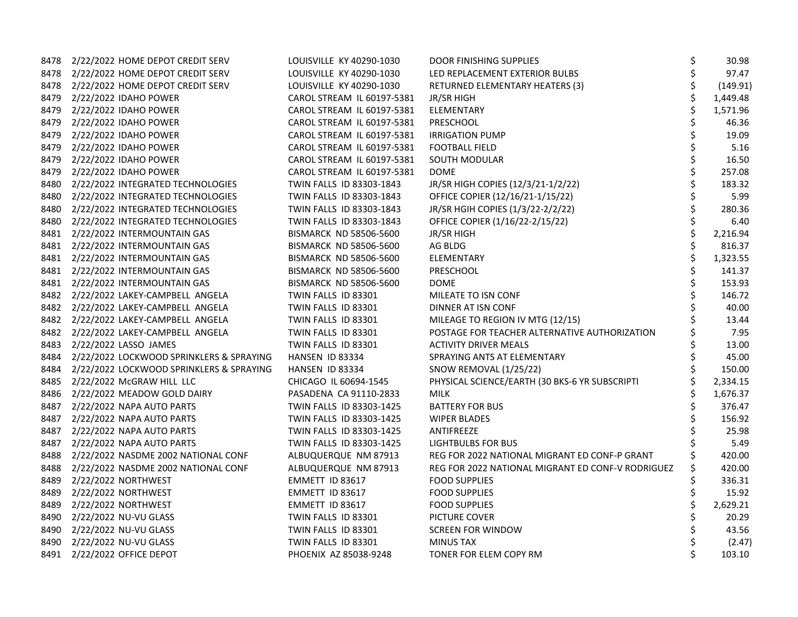| 8478 | 2/22/2022 HOME DEPOT CREDIT SERV              | LOUISVILLE KY 40290-1030      | <b>DOOR FINISHING SUPPLIES</b>                    | \$ | 30.98    |
|------|-----------------------------------------------|-------------------------------|---------------------------------------------------|----|----------|
|      | 8478 2/22/2022 HOME DEPOT CREDIT SERV         | LOUISVILLE KY 40290-1030      | LED REPLACEMENT EXTERIOR BULBS                    | \$ | 97.47    |
|      | 8478 2/22/2022 HOME DEPOT CREDIT SERV         | LOUISVILLE KY 40290-1030      | RETURNED ELEMENTARY HEATERS (3)                   | \$ | (149.91) |
| 8479 | 2/22/2022 IDAHO POWER                         | CAROL STREAM IL 60197-5381    | JR/SR HIGH                                        | \$ | 1,449.48 |
| 8479 | 2/22/2022 IDAHO POWER                         | CAROL STREAM IL 60197-5381    | ELEMENTARY                                        | \$ | 1,571.96 |
| 8479 | 2/22/2022 IDAHO POWER                         | CAROL STREAM IL 60197-5381    | PRESCHOOL                                         | \$ | 46.36    |
|      | 8479 2/22/2022 IDAHO POWER                    | CAROL STREAM IL 60197-5381    | <b>IRRIGATION PUMP</b>                            | \$ | 19.09    |
| 8479 | 2/22/2022 IDAHO POWER                         | CAROL STREAM IL 60197-5381    | <b>FOOTBALL FIELD</b>                             | \$ | 5.16     |
| 8479 | 2/22/2022 IDAHO POWER                         | CAROL STREAM IL 60197-5381    | SOUTH MODULAR                                     | \$ | 16.50    |
| 8479 | 2/22/2022 IDAHO POWER                         | CAROL STREAM IL 60197-5381    | <b>DOME</b>                                       | \$ | 257.08   |
| 8480 | 2/22/2022 INTEGRATED TECHNOLOGIES             | TWIN FALLS ID 83303-1843      | JR/SR HIGH COPIES (12/3/21-1/2/22)                | \$ | 183.32   |
|      | 8480 2/22/2022 INTEGRATED TECHNOLOGIES        | TWIN FALLS ID 83303-1843      | OFFICE COPIER (12/16/21-1/15/22)                  | \$ | 5.99     |
|      | 8480 2/22/2022 INTEGRATED TECHNOLOGIES        | TWIN FALLS ID 83303-1843      | JR/SR HGIH COPIES (1/3/22-2/2/22)                 | \$ | 280.36   |
|      | 8480 2/22/2022 INTEGRATED TECHNOLOGIES        | TWIN FALLS ID 83303-1843      | OFFICE COPIER (1/16/22-2/15/22)                   | \$ | 6.40     |
|      | 8481 2/22/2022 INTERMOUNTAIN GAS              | <b>BISMARCK ND 58506-5600</b> | JR/SR HIGH                                        | \$ | 2,216.94 |
|      | 8481 2/22/2022 INTERMOUNTAIN GAS              | <b>BISMARCK ND 58506-5600</b> | AG BLDG                                           | \$ | 816.37   |
|      | 8481 2/22/2022 INTERMOUNTAIN GAS              | <b>BISMARCK ND 58506-5600</b> | ELEMENTARY                                        | \$ | 1,323.55 |
|      | 8481 2/22/2022 INTERMOUNTAIN GAS              | BISMARCK ND 58506-5600        | PRESCHOOL                                         | \$ | 141.37   |
|      | 8481 2/22/2022 INTERMOUNTAIN GAS              | BISMARCK ND 58506-5600        | <b>DOME</b>                                       |    | 153.93   |
|      | 8482 2/22/2022 LAKEY-CAMPBELL ANGELA          | TWIN FALLS ID 83301           | MILEATE TO ISN CONF                               |    | 146.72   |
|      | 8482 2/22/2022 LAKEY-CAMPBELL ANGELA          | TWIN FALLS ID 83301           | DINNER AT ISN CONF                                | \$ | 40.00    |
|      | 8482 2/22/2022 LAKEY-CAMPBELL ANGELA          | TWIN FALLS ID 83301           | MILEAGE TO REGION IV MTG (12/15)                  |    | 13.44    |
|      | 8482 2/22/2022 LAKEY-CAMPBELL ANGELA          | TWIN FALLS ID 83301           | POSTAGE FOR TEACHER ALTERNATIVE AUTHORIZATION     |    | 7.95     |
|      | 8483 2/22/2022 LASSO JAMES                    | TWIN FALLS ID 83301           | <b>ACTIVITY DRIVER MEALS</b>                      | \$ | 13.00    |
|      | 8484 2/22/2022 LOCKWOOD SPRINKLERS & SPRAYING | HANSEN ID 83334               | SPRAYING ANTS AT ELEMENTARY                       |    | 45.00    |
|      | 8484 2/22/2022 LOCKWOOD SPRINKLERS & SPRAYING | HANSEN ID 83334               | SNOW REMOVAL (1/25/22)                            |    | 150.00   |
|      | 8485 2/22/2022 McGRAW HILL LLC                | CHICAGO IL 60694-1545         | PHYSICAL SCIENCE/EARTH (30 BKS-6 YR SUBSCRIPTI    |    | 2,334.15 |
| 8486 | 2/22/2022 MEADOW GOLD DAIRY                   | PASADENA CA 91110-2833        | <b>MILK</b>                                       |    | 1,676.37 |
|      | 8487 2/22/2022 NAPA AUTO PARTS                | TWIN FALLS ID 83303-1425      | <b>BATTERY FOR BUS</b>                            | \$ | 376.47   |
|      | 8487 2/22/2022 NAPA AUTO PARTS                | TWIN FALLS ID 83303-1425      | <b>WIPER BLADES</b>                               |    | 156.92   |
| 8487 | 2/22/2022 NAPA AUTO PARTS                     | TWIN FALLS ID 83303-1425      | ANTIFREEZE                                        |    | 25.98    |
| 8487 | 2/22/2022 NAPA AUTO PARTS                     | TWIN FALLS ID 83303-1425      | <b>LIGHTBULBS FOR BUS</b>                         |    | 5.49     |
| 8488 | 2/22/2022 NASDME 2002 NATIONAL CONF           | ALBUQUERQUE NM 87913          | REG FOR 2022 NATIONAL MIGRANT ED CONF-P GRANT     |    | 420.00   |
| 8488 | 2/22/2022 NASDME 2002 NATIONAL CONF           | ALBUQUERQUE NM 87913          | REG FOR 2022 NATIONAL MIGRANT ED CONF-V RODRIGUEZ | Ś  | 420.00   |
| 8489 | 2/22/2022 NORTHWEST                           | EMMETT ID 83617               | <b>FOOD SUPPLIES</b>                              | \$ | 336.31   |
| 8489 | 2/22/2022 NORTHWEST                           | EMMETT ID 83617               | <b>FOOD SUPPLIES</b>                              | \$ | 15.92    |
| 8489 | 2/22/2022 NORTHWEST                           | EMMETT ID 83617               | <b>FOOD SUPPLIES</b>                              |    | 2,629.21 |
| 8490 | 2/22/2022 NU-VU GLASS                         | TWIN FALLS ID 83301           | PICTURE COVER                                     |    | 20.29    |
| 8490 | 2/22/2022 NU-VU GLASS                         | TWIN FALLS ID 83301           | <b>SCREEN FOR WINDOW</b>                          |    | 43.56    |
| 8490 | 2/22/2022 NU-VU GLASS                         | TWIN FALLS ID 83301           | <b>MINUS TAX</b>                                  |    | (2.47)   |
|      | 8491 2/22/2022 OFFICE DEPOT                   | PHOENIX AZ 85038-9248         | TONER FOR ELEM COPY RM                            | \$ | 103.10   |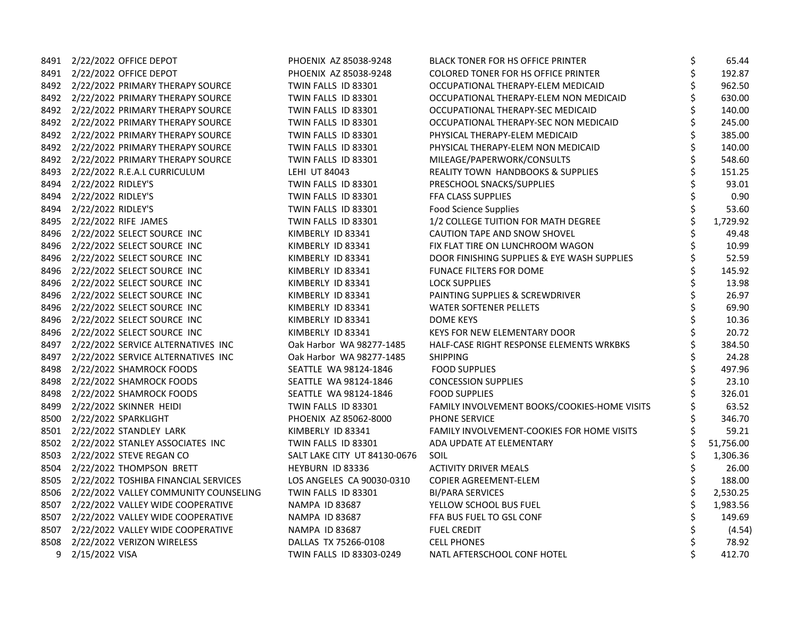|      | 8491 2/22/2022 OFFICE DEPOT                | PHOENIX AZ 85038-9248        | <b>BLACK TONER FOR HS OFFICE PRINTER</b>     | \$<br>65.44     |
|------|--------------------------------------------|------------------------------|----------------------------------------------|-----------------|
|      | 8491 2/22/2022 OFFICE DEPOT                | PHOENIX AZ 85038-9248        | COLORED TONER FOR HS OFFICE PRINTER          | \$<br>192.87    |
|      | 8492 2/22/2022 PRIMARY THERAPY SOURCE      | TWIN FALLS ID 83301          | OCCUPATIONAL THERAPY-ELEM MEDICAID           | \$<br>962.50    |
|      | 8492 2/22/2022 PRIMARY THERAPY SOURCE      | TWIN FALLS ID 83301          | OCCUPATIONAL THERAPY-ELEM NON MEDICAID       | \$<br>630.00    |
|      | 8492 2/22/2022 PRIMARY THERAPY SOURCE      | TWIN FALLS ID 83301          | OCCUPATIONAL THERAPY-SEC MEDICAID            | \$<br>140.00    |
|      | 8492 2/22/2022 PRIMARY THERAPY SOURCE      | TWIN FALLS ID 83301          | OCCUPATIONAL THERAPY-SEC NON MEDICAID        | \$<br>245.00    |
|      | 8492 2/22/2022 PRIMARY THERAPY SOURCE      | TWIN FALLS ID 83301          | PHYSICAL THERAPY-ELEM MEDICAID               | 385.00          |
|      | 8492 2/22/2022 PRIMARY THERAPY SOURCE      | TWIN FALLS ID 83301          | PHYSICAL THERAPY-ELEM NON MEDICAID           | \$<br>140.00    |
|      | 8492 2/22/2022 PRIMARY THERAPY SOURCE      | TWIN FALLS ID 83301          | MILEAGE/PAPERWORK/CONSULTS                   | \$<br>548.60    |
|      | 8493 2/22/2022 R.E.A.L CURRICULUM          | LEHI UT 84043                | <b>REALITY TOWN HANDBOOKS &amp; SUPPLIES</b> | \$<br>151.25    |
|      | 8494 2/22/2022 RIDLEY'S                    | TWIN FALLS ID 83301          | PRESCHOOL SNACKS/SUPPLIES                    | \$<br>93.01     |
|      | 8494 2/22/2022 RIDLEY'S                    | TWIN FALLS ID 83301          | FFA CLASS SUPPLIES                           | \$<br>0.90      |
|      | 8494 2/22/2022 RIDLEY'S                    | TWIN FALLS ID 83301          | <b>Food Science Supplies</b>                 | \$<br>53.60     |
|      | 8495 2/22/2022 RIFE JAMES                  | TWIN FALLS ID 83301          | 1/2 COLLEGE TUITION FOR MATH DEGREE          | \$<br>1,729.92  |
|      | 8496 2/22/2022 SELECT SOURCE INC           | KIMBERLY ID 83341            | CAUTION TAPE AND SNOW SHOVEL                 | \$<br>49.48     |
|      | 8496 2/22/2022 SELECT SOURCE INC           | KIMBERLY ID 83341            | FIX FLAT TIRE ON LUNCHROOM WAGON             | \$<br>10.99     |
|      | 8496 2/22/2022 SELECT SOURCE INC           | KIMBERLY ID 83341            | DOOR FINISHING SUPPLIES & EYE WASH SUPPLIES  | \$<br>52.59     |
|      | 8496 2/22/2022 SELECT SOURCE INC           | KIMBERLY ID 83341            | <b>FUNACE FILTERS FOR DOME</b>               | \$<br>145.92    |
|      | 8496 2/22/2022 SELECT SOURCE INC           | KIMBERLY ID 83341            | <b>LOCK SUPPLIES</b>                         | \$<br>13.98     |
|      | 8496 2/22/2022 SELECT SOURCE INC           | KIMBERLY ID 83341            | PAINTING SUPPLIES & SCREWDRIVER              | \$<br>26.97     |
|      | 8496 2/22/2022 SELECT SOURCE INC           | KIMBERLY ID 83341            | <b>WATER SOFTENER PELLETS</b>                | \$<br>69.90     |
|      | 8496 2/22/2022 SELECT SOURCE INC           | KIMBERLY ID 83341            | DOME KEYS                                    | \$<br>10.36     |
|      | 8496 2/22/2022 SELECT SOURCE INC           | KIMBERLY ID 83341            | KEYS FOR NEW ELEMENTARY DOOR                 | \$<br>20.72     |
|      | 8497 2/22/2022 SERVICE ALTERNATIVES INC    | Oak Harbor WA 98277-1485     | HALF-CASE RIGHT RESPONSE ELEMENTS WRKBKS     | \$<br>384.50    |
|      | 8497 2/22/2022 SERVICE ALTERNATIVES INC    | Oak Harbor WA 98277-1485     | <b>SHIPPING</b>                              | \$<br>24.28     |
|      | 8498 2/22/2022 SHAMROCK FOODS              | SEATTLE WA 98124-1846        | <b>FOOD SUPPLIES</b>                         | \$<br>497.96    |
|      | 8498 2/22/2022 SHAMROCK FOODS              | SEATTLE WA 98124-1846        | <b>CONCESSION SUPPLIES</b>                   | \$<br>23.10     |
|      | 8498 2/22/2022 SHAMROCK FOODS              | SEATTLE WA 98124-1846        | <b>FOOD SUPPLIES</b>                         | \$<br>326.01    |
|      | 8499 2/22/2022 SKINNER HEIDI               | TWIN FALLS ID 83301          | FAMILY INVOLVEMENT BOOKS/COOKIES-HOME VISITS | 63.52           |
|      | 8500 2/22/2022 SPARKLIGHT                  | PHOENIX AZ 85062-8000        | PHONE SERVICE                                | 346.70          |
|      | 8501 2/22/2022 STANDLEY LARK               | KIMBERLY ID 83341            | FAMILY INVOLVEMENT-COOKIES FOR HOME VISITS   | \$<br>59.21     |
|      | 8502 2/22/2022 STANLEY ASSOCIATES INC      | TWIN FALLS ID 83301          | ADA UPDATE AT ELEMENTARY                     | \$<br>51,756.00 |
| 8503 | 2/22/2022 STEVE REGAN CO                   | SALT LAKE CITY UT 84130-0676 | SOIL                                         | \$<br>1,306.36  |
| 8504 | 2/22/2022 THOMPSON BRETT                   | HEYBURN ID 83336             | <b>ACTIVITY DRIVER MEALS</b>                 | \$<br>26.00     |
|      | 8505 2/22/2022 TOSHIBA FINANCIAL SERVICES  | LOS ANGELES CA 90030-0310    | COPIER AGREEMENT-ELEM                        | \$<br>188.00    |
|      | 8506 2/22/2022 VALLEY COMMUNITY COUNSELING | TWIN FALLS ID 83301          | <b>BI/PARA SERVICES</b>                      | 2,530.25        |
|      | 8507 2/22/2022 VALLEY WIDE COOPERATIVE     | <b>NAMPA ID 83687</b>        | YELLOW SCHOOL BUS FUEL                       | \$<br>1,983.56  |
|      | 8507 2/22/2022 VALLEY WIDE COOPERATIVE     | NAMPA ID 83687               | FFA BUS FUEL TO GSL CONF                     | \$<br>149.69    |
|      | 8507 2/22/2022 VALLEY WIDE COOPERATIVE     | <b>NAMPA ID 83687</b>        | <b>FUEL CREDIT</b>                           | (4.54)          |
|      | 8508 2/22/2022 VERIZON WIRELESS            | DALLAS TX 75266-0108         | <b>CELL PHONES</b>                           | \$<br>78.92     |
|      | 9 2/15/2022 VISA                           | TWIN FALLS ID 83303-0249     | NATL AFTERSCHOOL CONF HOTEL                  | \$<br>412.70    |